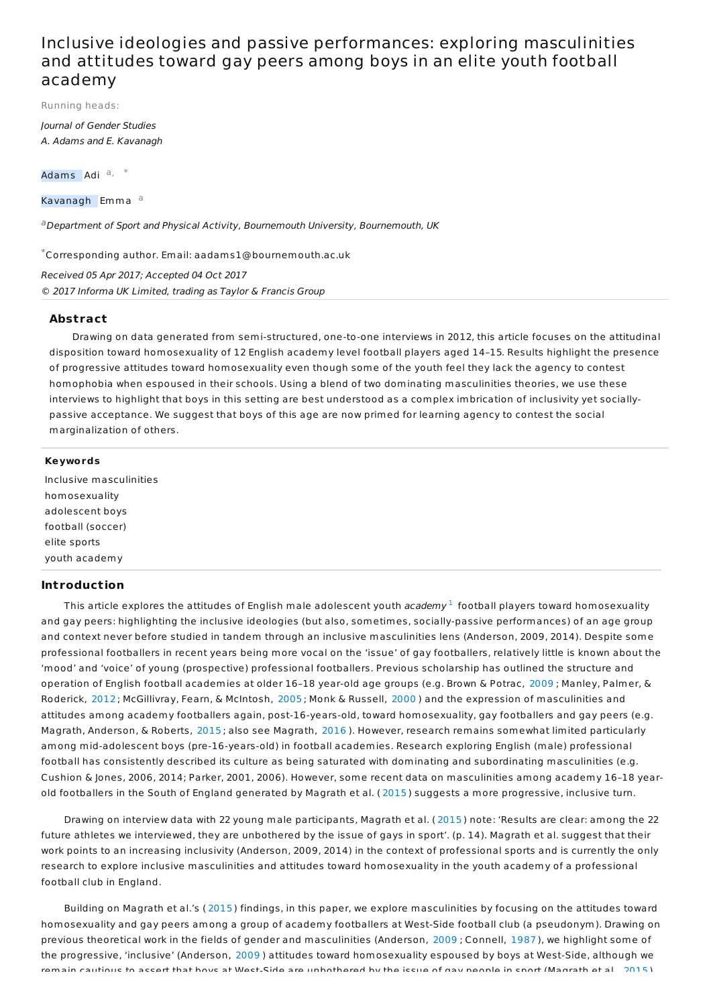# Inclusive ideologies and passive performances: exploring masculinities and attitudes toward gay peers among boys in an elite youth football academy

Running heads:

Journal of Gender Studies A. Adams and E. Kavanagh

Adams Adi<sup>a,</sup> \*

Kavanagh Emma a

aDepartment of Sport and Physical Activity, Bournemouth University, Bournemouth, UK

 $\displaystyle{ }^*$ Corresponding author. Email: aadams1@bournemouth.ac.uk

Received 05 Apr 2017; Accepted 04 Oct 2017 © 2017 Informa UK Limited, trading as Taylor & Francis Group

# **Abstract**

Drawing on data generated from semi-structured, one-to-one interviews in 2012, this article focuses on the attitudinal disposition toward homosexuality of 12 English academy level football players aged 14–15. Results highlight the presence of progressive attitudes toward homosexuality even though some of the youth feel they lack the agency to contest homophobia when espoused in their schools. Using a blend of two dominating masculinities theories, we use these interviews to highlight that boys in this setting are best understood as a complex imbrication of inclusivity yet sociallypassive acceptance. We suggest that boys of this age are now primed for learning agency to contest the social marginalization of others.

## **Keywords**

Inclusive masculinities homosexuality adolescent boys football (soccer) elite sports youth academy

# **Introduction**

This article explores the attitudes of English male adolescent youth *academy*  $^1$  football players toward homosexuality and gay peers: highlighting the inclusive ideologies (but also, sometimes, socially-passive performances) of an age group and context never before studied in tandem through an inclusive masculinities lens (Anderson, 2009, 2014). Despite some professional footballers in recent years being more vocal on the 'issue' of gay footballers, relatively little is known about the 'mood' and 'voice' of young (prospective) professional footballers. Previous scholarship has outlined the structure and operation of English football academies at older 16–18 year-old age groups (e.g. Brown & Potrac, 2009 ; Manley, Palmer, & Roderick, 2012 ; McGillivray, Fearn, & McIntosh, 2005 ; Monk & Russell, 2000 ) and the expression of masculinities and attitudes among academy footballers again, post-16-years-old, toward homosexuality, gay footballers and gay peers (e.g. Magrath, Anderson, & Roberts, 2015 ; also see Magrath, 2016 ). However, research remains somewhat limited particularly among mid-adolescent boys (pre-16-years-old) in football academies. Research exploring English (male) professional football has consistently described its culture as being saturated with dominating and subordinating masculinities (e.g. Cushion & Jones, 2006, 2014; Parker, 2001, 2006). However, some recent data on masculinities among academy 16–18 yearold footballers in the South of England generated by Magrath et al. ( 2015 ) suggests a more progressive, inclusive turn.

Drawing on interview data with 22 young male participants, Magrath et al. ( 2015 ) note: 'Results are clear: among the 22 future athletes we interviewed, they are unbothered by the issue of gays in sport'. (p. 14). Magrath et al. suggest that their work points to an increasing inclusivity (Anderson, 2009, 2014) in the context of professional sports and is currently the only research to explore inclusive masculinities and attitudes toward homosexuality in the youth academy of a professional football club in England.

Building on Magrath et al.'s ( 2015 ) findings, in this paper, we explore masculinities by focusing on the attitudes toward homosexuality and gay peers among a group of academy footballers at West-Side football club (a pseudonym). Drawing on previous theoretical work in the fields of gender and masculinities (Anderson, 2009 ; Connell, 1987 ), we highlight some of the progressive, 'inclusive' (Anderson, 2009 ) attitudes toward homosexuality espoused by boys at West-Side, although we remain cautious to assert that hove at West-Side are unbothered by the issue of gay people in sport (Magrath et al., 2015).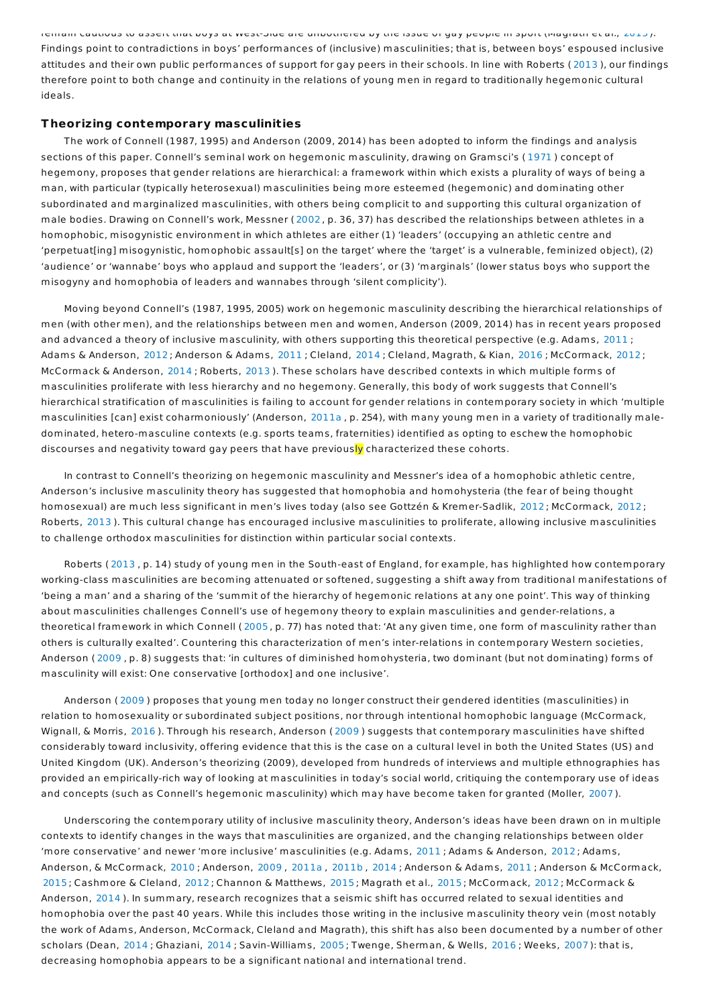remain cautious to assert that boys at West-Side are unbothered by the issue of gay people in sport (Magrath et al., 2015 ). Findings point to contradictions in boys' performances of (inclusive) masculinities; that is, between boys' espoused inclusive attitudes and their own public performances of support for gay peers in their schools. In line with Roberts ( 2013 ), our findings therefore point to both change and continuity in the relations of young men in regard to traditionally hegemonic cultural ideals.

## **T heorizing contemporary masculinities**

The work of Connell (1987, 1995) and Anderson (2009, 2014) has been adopted to inform the findings and analysis sections of this paper. Connell's seminal work on hegemonic masculinity, drawing on Gramsci's ( 1971 ) concept of hegemony, proposes that gender relations are hierarchical: a framework within which exists a plurality of ways of being a man, with particular (typically heterosexual) masculinities being more esteemed (hegemonic) and dominating other subordinated and marginalized masculinities, with others being complicit to and supporting this cultural organization of male bodies. Drawing on Connell's work, Messner ( 2002 , p. 36, 37) has described the relationships between athletes in a homophobic, misogynistic environment in which athletes are either (1) 'leaders' (occupying an athletic centre and 'perpetuat[ing] misogynistic, homophobic assault[s] on the target' where the 'target' is a vulnerable, feminized object), (2) 'audience' or 'wannabe' boys who applaud and support the 'leaders', or (3) 'marginals' (lower status boys who support the misogyny and homophobia of leaders and wannabes through 'silent complicity').

Moving beyond Connell's (1987, 1995, 2005) work on hegemonic masculinity describing the hierarchical relationships of men (with other men), and the relationships between men and women, Anderson (2009, 2014) has in recent years proposed and advanced a theory of inclusive masculinity, with others supporting this theoretical perspective (e.g. Adams, 2011; Adams & Anderson, 2012 ; Anderson & Adams, 2011 ; Cleland, 2014 ; Cleland, Magrath, & Kian, 2016 ; McCormack, 2012 ; McCormack & Anderson, 2014 ; Roberts, 2013 ). These scholars have described contexts in which multiple forms of masculinities proliferate with less hierarchy and no hegemony. Generally, this body of work suggests that Connell's hierarchical stratification of masculinities is failing to account for gender relations in contemporary society in which 'multiple masculinities [can] exist coharmoniously' (Anderson, 2011a , p. 254), with many young men in a variety of traditionally maledominated, hetero-masculine contexts (e.g. sports teams, fraternities) identified as opting to eschew the homophobic discourses and negativity toward gay peers that have previously characterized these cohorts.

In contrast to Connell's theorizing on hegemonic masculinity and Messner's idea of a homophobic athletic centre, Anderson's inclusive masculinity theory has suggested that homophobia and homohysteria (the fear of being thought homosexual) are much less significant in men's lives today (also see Gottzén & Kremer-Sadlik, 2012; McCormack, 2012; Roberts, 2013 ). This cultural change has encouraged inclusive masculinities to proliferate, allowing inclusive masculinities to challenge orthodox masculinities for distinction within particular social contexts.

Roberts ( 2013 , p. 14) study of young men in the South-east of England, for example, has highlighted how contemporary working-class masculinities are becoming attenuated or softened, suggesting a shift away from traditional manifestations of 'being a man' and a sharing of the 'summit of the hierarchy of hegemonic relations at any one point'. This way of thinking about masculinities challenges Connell's use of hegemony theory to explain masculinities and gender-relations, a theoretical framework in which Connell ( 2005 , p. 77) has noted that: 'At any given time, one form of masculinity rather than others is culturally exalted'. Countering this characterization of men's inter-relations in contemporary Western societies, Anderson ( 2009 , p. 8) suggests that: 'in cultures of diminished homohysteria, two dominant (but not dominating) forms of masculinity will exist: One conservative [orthodox] and one inclusive'.

Anderson ( 2009 ) proposes that young men today no longer construct their gendered identities (masculinities) in relation to homosexuality or subordinated subject positions, nor through intentional homophobic language (McCormack, Wignall, & Morris, 2016). Through his research, Anderson (2009) suggests that contemporary masculinities have shifted considerably toward inclusivity, offering evidence that this is the case on a cultural level in both the United States (US) and United Kingdom (UK). Anderson's theorizing (2009), developed from hundreds of interviews and multiple ethnographies has provided an empirically-rich way of looking at masculinities in today's social world, critiquing the contemporary use of ideas and concepts (such as Connell's hegemonic masculinity) which may have become taken for granted (Moller, 2007 ).

Underscoring the contemporary utility of inclusive masculinity theory, Anderson's ideas have been drawn on in multiple contexts to identify changes in the ways that masculinities are organized, and the changing relationships between older 'more conservative' and newer 'more inclusive' masculinities (e.g. Adams, 2011 ; Adams & Anderson, 2012 ; Adams, Anderson, & McCormack, 2010 ; Anderson, 2009 , 2011a , 2011b , 2014 ; Anderson & Adams, 2011 ; Anderson & McCormack, 2015 ; Cashmore & Cleland, 2012 ; Channon & Matthews, 2015 ; Magrath et al., 2015 ; McCormack, 2012 ; McCormack & Anderson, 2014 ). In summary, research recognizes that a seismic shift has occurred related to sexual identities and homophobia over the past 40 years. While this includes those writing in the inclusive masculinity theory vein (most notably the work of Adams, Anderson, McCormack, Cleland and Magrath), this shift has also been documented by a number of other scholars (Dean, 2014 ; Ghaziani, 2014 ; Savin-Williams, 2005 ; Twenge, Sherman, & Wells, 2016 ; Weeks, 2007 ): that is, decreasing homophobia appears to be a significant national and international trend.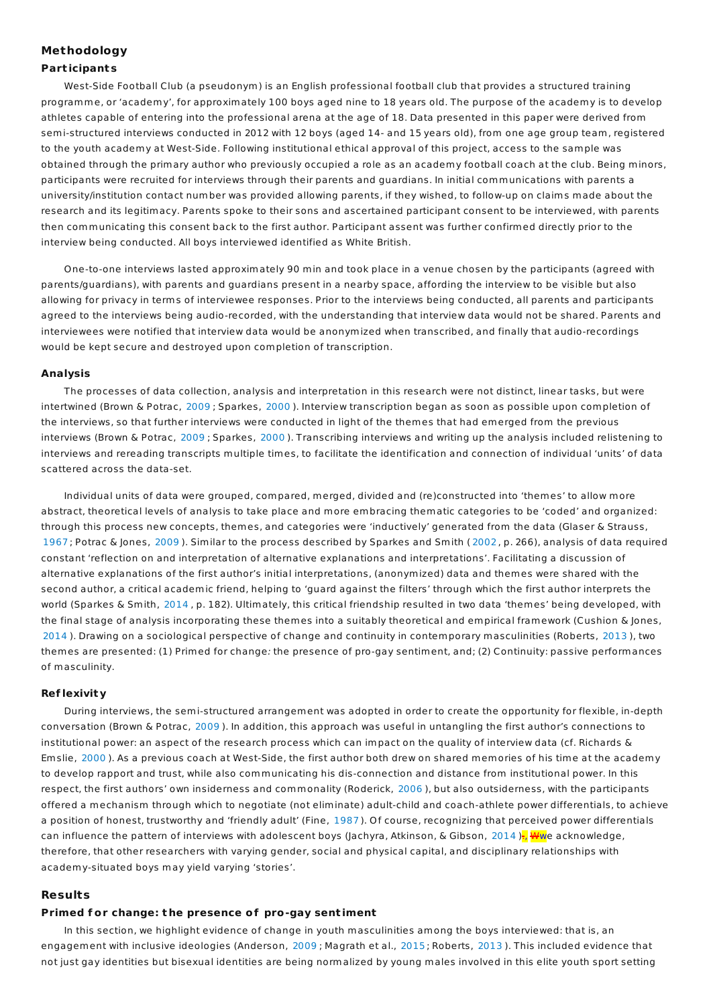# **Methodology**

#### **Part icipant s**

West-Side Football Club (a pseudonym) is an English professional football club that provides a structured training programme, or 'academy', for approximately 100 boys aged nine to 18 years old. The purpose of the academy is to develop athletes capable of entering into the professional arena at the age of 18. Data presented in this paper were derived from semi-structured interviews conducted in 2012 with 12 boys (aged 14- and 15 years old), from one age group team, registered to the youth academy at West-Side. Following institutional ethical approval of this project, access to the sample was obtained through the primary author who previously occupied a role as an academy football coach at the club. Being minors, participants were recruited for interviews through their parents and guardians. In initial communications with parents a university/institution contact number was provided allowing parents, if they wished, to follow-up on claims made about the research and its legitimacy. Parents spoke to their sons and ascertained participant consent to be interviewed, with parents then communicating this consent back to the first author. Participant assent was further confirmed directly prior to the interview being conducted. All boys interviewed identified as White British.

One-to-one interviews lasted approximately 90 min and took place in a venue chosen by the participants (agreed with parents/guardians), with parents and guardians present in a nearby space, affording the interview to be visible but also allowing for privacy in terms of interviewee responses. Prior to the interviews being conducted, all parents and participants agreed to the interviews being audio-recorded, with the understanding that interview data would not be shared. Parents and interviewees were notified that interview data would be anonymized when transcribed, and finally that audio-recordings would be kept secure and destroyed upon completion of transcription.

#### **Analysis**

The processes of data collection, analysis and interpretation in this research were not distinct, linear tasks, but were intertwined (Brown & Potrac, 2009 ; Sparkes, 2000 ). Interview transcription began as soon as possible upon completion of the interviews, so that further interviews were conducted in light of the themes that had emerged from the previous interviews (Brown & Potrac, 2009 ; Sparkes, 2000 ). Transcribing interviews and writing up the analysis included relistening to interviews and rereading transcripts multiple times, to facilitate the identification and connection of individual 'units' of data scattered across the data-set.

Individual units of data were grouped, compared, merged, divided and (re)constructed into 'themes' to allow more abstract, theoretical levels of analysis to take place and more embracing thematic categories to be 'coded' and organized: through this process new concepts, themes, and categories were 'inductively' generated from the data (Glaser & Strauss, 1967 ; Potrac & Jones, 2009 ). Similar to the process described by Sparkes and Smith ( 2002 , p. 266), analysis of data required constant 'reflection on and interpretation of alternative explanations and interpretations'. Facilitating a discussion of alternative explanations of the first author's initial interpretations, (anonymized) data and themes were shared with the second author, a critical academic friend, helping to 'guard against the filters' through which the first author interprets the world (Sparkes & Smith, 2014 , p. 182). Ultimately, this critical friendship resulted in two data 'themes' being developed, with the final stage of analysis incorporating these themes into a suitably theoretical and empirical framework (Cushion & Jones, 2014 ). Drawing on a sociological perspective of change and continuity in contemporary masculinities (Roberts, 2013 ), two themes are presented: (1) Primed for change: the presence of pro-gay sentiment, and; (2) Continuity: passive performances of masculinity.

## **Ref lexivit y**

During interviews, the semi-structured arrangement was adopted in order to create the opportunity for flexible, in-depth conversation (Brown & Potrac, 2009 ). In addition, this approach was useful in untangling the first author's connections to institutional power: an aspect of the research process which can impact on the quality of interview data (cf. Richards & Emslie, 2000 ). As a previous coach at West-Side, the first author both drew on shared memories of his time at the academy to develop rapport and trust, while also communicating his dis-connection and distance from institutional power. In this respect, the first authors' own insiderness and commonality (Roderick, 2006 ), but also outsiderness, with the participants offered a mechanism through which to negotiate (not eliminate) adult-child and coach-athlete power differentials, to achieve a position of honest, trustworthy and 'friendly adult' (Fine, 1987 ). Of course, recognizing that perceived power differentials can influence the pattern of interviews with adolescent boys (Jachyra, Atkinson, & Gibson, 2014)., Wwe acknowledge, therefore, that other researchers with varying gender, social and physical capital, and disciplinary relationships with academy-situated boys may yield varying 'stories'.

## **Results**

## **Primed f or change: t he presence of pro-gay sent iment**

In this section, we highlight evidence of change in youth masculinities among the boys interviewed: that is, an engagement with inclusive ideologies (Anderson, 2009 ; Magrath et al., 2015 ; Roberts, 2013 ). This included evidence that not just gay identities but bisexual identities are being normalized by young males involved in this elite youth sport setting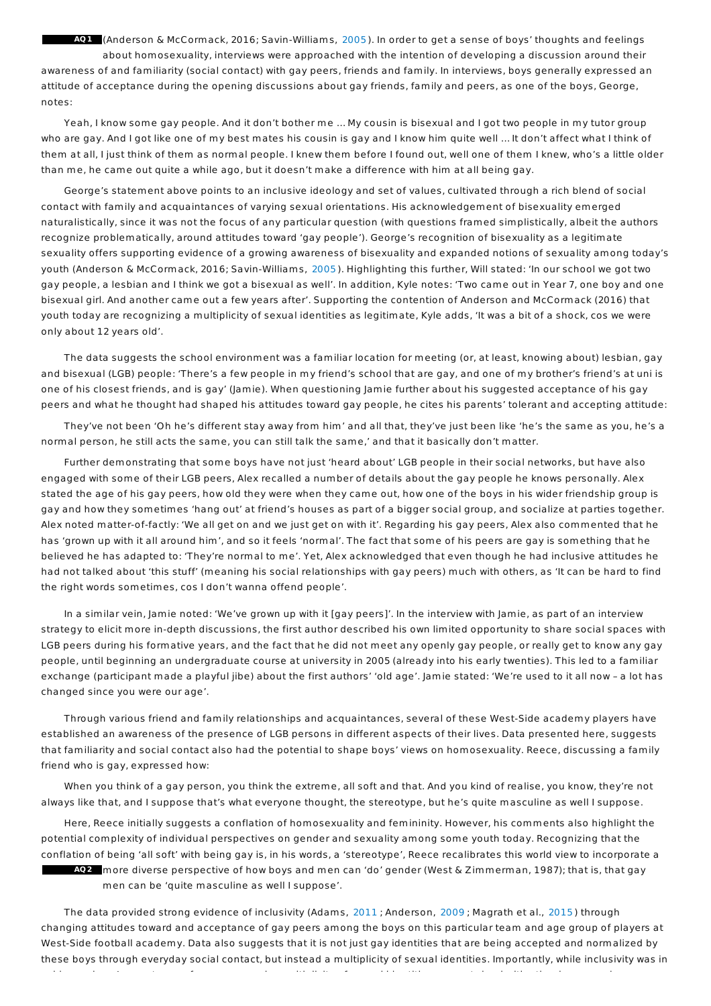**AQ 1** (Anderson & McCormack, 2016; Savin-Williams, 2005 ). In order to get a sense of boys' thoughts and feelings about homosexuality, interviews were approached with the intention of developing a discussion around their awareness of and familiarity (social contact) with gay peers, friends and family. In interviews, boys generally expressed an attitude of acceptance during the opening discussions about gay friends, family and peers, as one of the boys, George, notes:

Yeah, I know some gay people. And it don't bother me … My cousin is bisexual and I got two people in my tutor group who are gay. And I got like one of my best mates his cousin is gay and I know him quite well … It don't affect what I think of them at all, I just think of them as normal people. I knew them before I found out, well one of them I knew, who's a little older than me, he came out quite a while ago, but it doesn't make a difference with him at all being gay.

George's statement above points to an inclusive ideology and set of values, cultivated through a rich blend of social contact with family and acquaintances of varying sexual orientations. His acknowledgement of bisexuality emerged naturalistically, since it was not the focus of any particular question (with questions framed simplistically, albeit the authors recognize problematically, around attitudes toward 'gay people'). George's recognition of bisexuality as a legitimate sexuality offers supporting evidence of a growing awareness of bisexuality and expanded notions of sexuality among today's youth (Anderson & McCormack, 2016; Savin-Williams, 2005 ). Highlighting this further, Will stated: 'In our school we got two gay people, a lesbian and I think we got a bisexual as well'. In addition, Kyle notes: 'Two came out in Year 7, one boy and one bisexual girl. And another came out a few years after'. Supporting the contention of Anderson and McCormack (2016) that youth today are recognizing a multiplicity of sexual identities as legitimate, Kyle adds, 'It was a bit of a shock, cos we were only about 12 years old'.

The data suggests the school environment was a familiar location for meeting (or, at least, knowing about) lesbian, gay and bisexual (LGB) people: 'There's a few people in my friend's school that are gay, and one of my brother's friend's at uni is one of his closest friends, and is gay' (Jamie). When questioning Jamie further about his suggested acceptance of his gay peers and what he thought had shaped his attitudes toward gay people, he cites his parents' tolerant and accepting attitude:

They've not been 'Oh he's different stay away from him' and all that, they've just been like 'he's the same as you, he's a normal person, he still acts the same, you can still talk the same,' and that it basically don't matter.

Further demonstrating that some boys have not just 'heard about' LGB people in their social networks, but have also engaged with some of their LGB peers, Alex recalled a number of details about the gay people he knows personally. Alex stated the age of his gay peers, how old they were when they came out, how one of the boys in his wider friendship group is gay and how they sometimes 'hang out' at friend's houses as part of a bigger social group, and socialize at parties together. Alex noted matter-of-factly: 'We all get on and we just get on with it'. Regarding his gay peers, Alex also commented that he has 'grown up with it all around him', and so it feels 'normal'. The fact that some of his peers are gay is something that he believed he has adapted to: 'They're normal to me'. Yet, Alex acknowledged that even though he had inclusive attitudes he had not talked about 'this stuff' (meaning his social relationships with gay peers) much with others, as 'It can be hard to find the right words sometimes, cos I don't wanna offend people'.

In a similar vein, Jamie noted: 'We've grown up with it [gay peers]'. In the interview with Jamie, as part of an interview strategy to elicit more in-depth discussions, the first author described his own limited opportunity to share social spaces with LGB peers during his formative years, and the fact that he did not meet any openly gay people, or really get to know any gay people, until beginning an undergraduate course at university in 2005 (already into his early twenties). This led to a familiar exchange (participant made a playful jibe) about the first authors' 'old age'. Jamie stated: 'We're used to it all now – a lot has changed since you were our age'.

Through various friend and family relationships and acquaintances, several of these West-Side academy players have established an awareness of the presence of LGB persons in different aspects of their lives. Data presented here, suggests that familiarity and social contact also had the potential to shape boys' views on homosexuality. Reece, discussing a family friend who is gay, expressed how:

When you think of a gay person, you think the extreme, all soft and that. And you kind of realise, you know, they're not always like that, and I suppose that's what everyone thought, the stereotype, but he's quite masculine as well I suppose.

**AQ 2** more diverse perspective of how boys and men can 'do' gender (West & Zimmerman, 1987); that is, that gay Here, Reece initially suggests a conflation of homosexuality and femininity. However, his comments also highlight the potential complexity of individual perspectives on gender and sexuality among some youth today. Recognizing that the conflation of being 'all soft' with being gay is, in his words, a 'stereotype', Reece recalibrates this world view to incorporate a men can be 'quite masculine as well I suppose'.

The data provided strong evidence of inclusivity (Adams, 2011 ; Anderson, 2009 ; Magrath et al., 2015 ) through changing attitudes toward and acceptance of gay peers among the boys on this particular team and age group of players at West-Side football academy. Data also suggests that it is not just gay identities that are being accepted and normalized by these boys through everyday social contact, but instead a multiplicity of sexual identities. Importantly, while inclusivity was in evidence, boys' acceptance of gay peers and a multiplicity of sexual identities was entwined with other issues and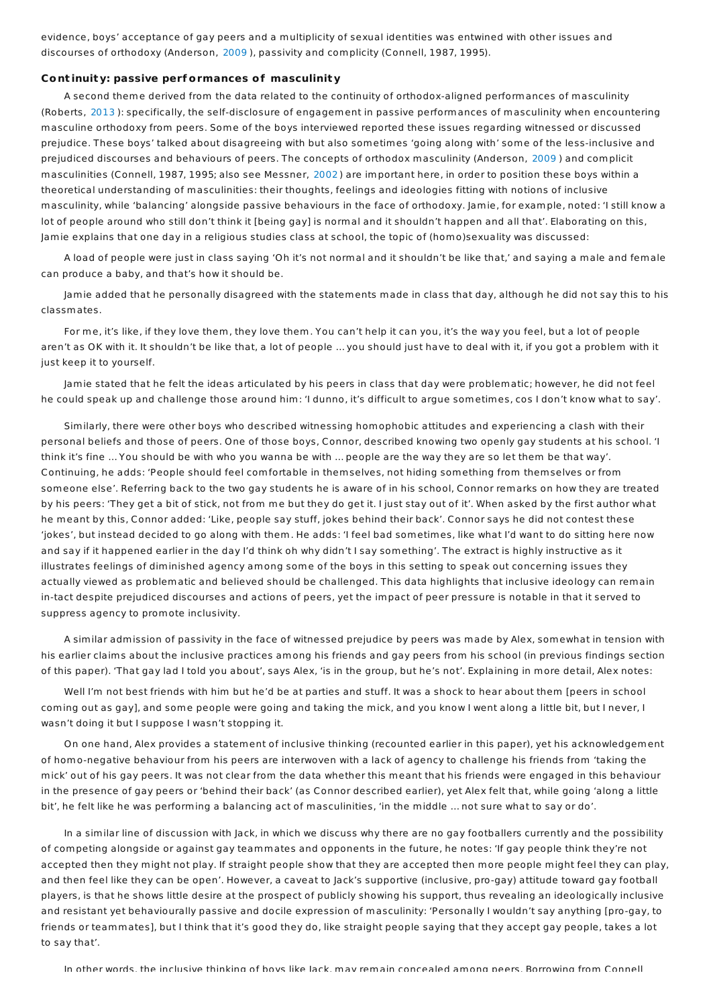evidence, boys' acceptance of gay peers and a multiplicity of sexual identities was entwined with other issues and discourses of orthodoxy (Anderson, 2009 ), passivity and complicity (Connell, 1987, 1995).

## **Cont inuit y: passive perf ormances of masculinit y**

A second theme derived from the data related to the continuity of orthodox-aligned performances of masculinity (Roberts, 2013 ): specifically, the self-disclosure of engagement in passive performances of masculinity when encountering masculine orthodoxy from peers. Some of the boys interviewed reported these issues regarding witnessed or discussed prejudice. These boys' talked about disagreeing with but also sometimes 'going along with' some of the less-inclusive and prejudiced discourses and behaviours of peers. The concepts of orthodox masculinity (Anderson, 2009 ) and complicit masculinities (Connell, 1987, 1995; also see Messner, 2002 ) are important here, in order to position these boys within a theoretical understanding of masculinities: their thoughts, feelings and ideologies fitting with notions of inclusive masculinity, while 'balancing' alongside passive behaviours in the face of orthodoxy. Jamie, for example, noted: 'I still know a lot of people around who still don't think it [being gay] is normal and it shouldn't happen and all that'. Elaborating on this, Jamie explains that one day in a religious studies class at school, the topic of (homo)sexuality was discussed:

A load of people were just in class saying 'Oh it's not normal and it shouldn't be like that,' and saying a male and female can produce a baby, and that's how it should be.

Jamie added that he personally disagreed with the statements made in class that day, although he did not say this to his classmates.

For me, it's like, if they love them, they love them. You can't help it can you, it's the way you feel, but a lot of people aren't as OK with it. It shouldn't be like that, a lot of people … you should just have to deal with it, if you got a problem with it just keep it to yourself.

Jamie stated that he felt the ideas articulated by his peers in class that day were problematic; however, he did not feel he could speak up and challenge those around him: 'I dunno, it's difficult to argue sometimes, cos I don't know what to say'.

Similarly, there were other boys who described witnessing homophobic attitudes and experiencing a clash with their personal beliefs and those of peers. One of those boys, Connor, described knowing two openly gay students at his school. 'I think it's fine … You should be with who you wanna be with … people are the way they are so let them be that way'. Continuing, he adds: 'People should feel comfortable in themselves, not hiding something from themselves or from someone else'. Referring back to the two gay students he is aware of in his school, Connor remarks on how they are treated by his peers: 'They get a bit of stick, not from me but they do get it. I just stay out of it'. When asked by the first author what he meant by this, Connor added: 'Like, people say stuff, jokes behind their back'. Connor says he did not contest these 'jokes', but instead decided to go along with them. He adds: 'I feel bad sometimes, like what I'd want to do sitting here now and say if it happened earlier in the day I'd think oh why didn't I say something'. The extract is highly instructive as it illustrates feelings of diminished agency among some of the boys in this setting to speak out concerning issues they actually viewed as problematic and believed should be challenged. This data highlights that inclusive ideology can remain in-tact despite prejudiced discourses and actions of peers, yet the impact of peer pressure is notable in that it served to suppress agency to promote inclusivity.

A similar admission of passivity in the face of witnessed prejudice by peers was made by Alex, somewhat in tension with his earlier claims about the inclusive practices among his friends and gay peers from his school (in previous findings section of this paper). 'That gay lad I told you about', says Alex, 'is in the group, but he's not'. Explaining in more detail, Alex notes:

Well I'm not best friends with him but he'd be at parties and stuff. It was a shock to hear about them [peers in school] coming out as gay], and some people were going and taking the mick, and you know I went along a little bit, but I never, I wasn't doing it but I suppose I wasn't stopping it.

On one hand, Alex provides a statement of inclusive thinking (recounted earlier in this paper), yet his acknowledgement of homo-negative behaviour from his peers are interwoven with a lack of agency to challenge his friends from 'taking the mick' out of his gay peers. It was not clear from the data whether this meant that his friends were engaged in this behaviour in the presence of gay peers or 'behind their back' (as Connor described earlier), yet Alex felt that, while going 'along a little bit', he felt like he was performing a balancing act of masculinities, 'in the middle ... not sure what to say or do'.

In a similar line of discussion with Jack, in which we discuss why there are no gay footballers currently and the possibility of competing alongside or against gay teammates and opponents in the future, he notes: 'If gay people think they're not accepted then they might not play. If straight people show that they are accepted then more people might feel they can play, and then feel like they can be open'. However, a caveat to Jack's supportive (inclusive, pro-gay) attitude toward gay football players, is that he shows little desire at the prospect of publicly showing his support, thus revealing an ideologically inclusive and resistant yet behaviourally passive and docile expression of masculinity: 'Personally I wouldn't say anything [pro-gay, to friends or teammates], but I think that it's good they do, like straight people saying that they accept gay people, takes a lot to say that'.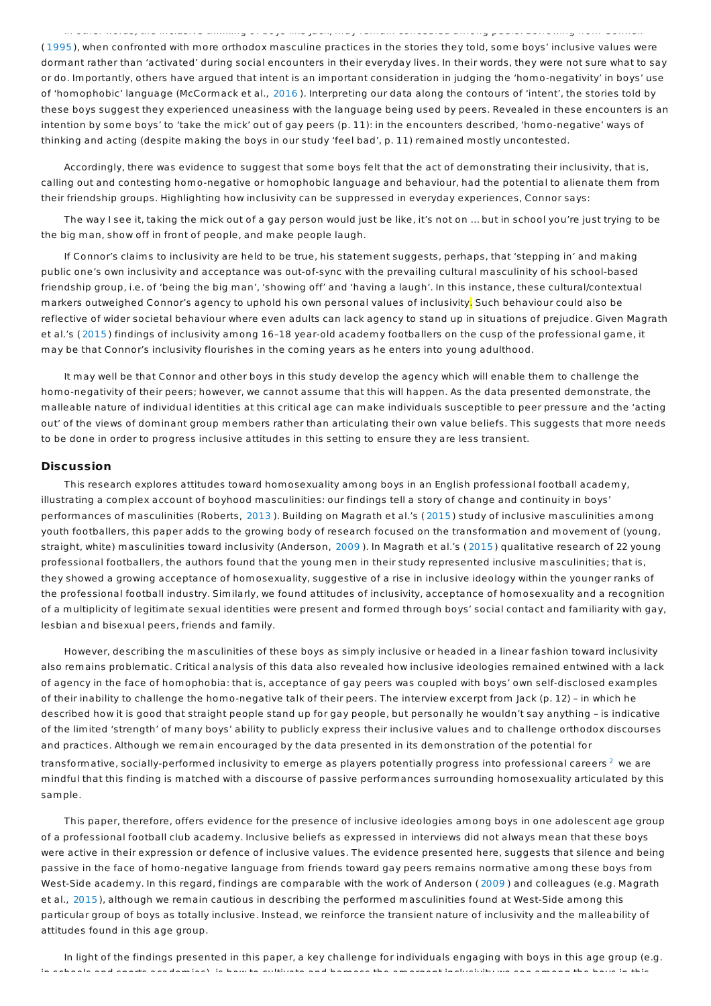In other words, the inclusive thinking of boys like Jack, may remain concealed among peers. Borrowing from Connell ( 1995 ), when confronted with more orthodox masculine practices in the stories they told, some boys' inclusive values were dormant rather than 'activated' during social encounters in their everyday lives. In their words, they were not sure what to say or do. Importantly, others have argued that intent is an important consideration in judging the 'homo-negativity' in boys' use of 'homophobic' language (McCormack et al., 2016 ). Interpreting our data along the contours of 'intent', the stories told by these boys suggest they experienced uneasiness with the language being used by peers. Revealed in these encounters is an intention by some boys' to 'take the mick' out of gay peers (p. 11): in the encounters described, 'homo-negative' ways of thinking and acting (despite making the boys in our study 'feel bad', p. 11) remained mostly uncontested.

Accordingly, there was evidence to suggest that some boys felt that the act of demonstrating their inclusivity, that is, calling out and contesting homo-negative or homophobic language and behaviour, had the potential to alienate them from their friendship groups. Highlighting how inclusivity can be suppressed in everyday experiences, Connor says:

The way I see it, taking the mick out of a gay person would just be like, it's not on … but in school you're just trying to be the big man, show off in front of people, and make people laugh.

If Connor's claims to inclusivity are held to be true, his statement suggests, perhaps, that 'stepping in' and making public one's own inclusivity and acceptance was out-of-sync with the prevailing cultural masculinity of his school-based friendship group, i.e. of 'being the big man', 'showing off' and 'having a laugh'. In this instance, these cultural/contextual markers outweighed Connor's agency to uphold his own personal values of inclusivity. Such behaviour could also be reflective of wider societal behaviour where even adults can lack agency to stand up in situations of prejudice. Given Magrath et al.'s ( 2015 ) findings of inclusivity among 16–18 year-old academy footballers on the cusp of the professional game, it may be that Connor's inclusivity flourishes in the coming years as he enters into young adulthood.

It may well be that Connor and other boys in this study develop the agency which will enable them to challenge the homo-negativity of their peers; however, we cannot assume that this will happen. As the data presented demonstrate, the malleable nature of individual identities at this critical age can make individuals susceptible to peer pressure and the 'acting out' of the views of dominant group members rather than articulating their own value beliefs. This suggests that more needs to be done in order to progress inclusive attitudes in this setting to ensure they are less transient.

## **Discussion**

This research explores attitudes toward homosexuality among boys in an English professional football academy, illustrating a complex account of boyhood masculinities: our findings tell a story of change and continuity in boys' performances of masculinities (Roberts, 2013 ). Building on Magrath et al.'s ( 2015 ) study of inclusive masculinities among youth footballers, this paper adds to the growing body of research focused on the transformation and movement of (young, straight, white) masculinities toward inclusivity (Anderson, 2009 ). In Magrath et al.'s ( 2015 ) qualitative research of 22 young professional footballers, the authors found that the young men in their study represented inclusive masculinities; that is, they showed a growing acceptance of homosexuality, suggestive of a rise in inclusive ideology within the younger ranks of the professional football industry. Similarly, we found attitudes of inclusivity, acceptance of homosexuality and a recognition of a multiplicity of legitimate sexual identities were present and formed through boys' social contact and familiarity with gay, lesbian and bisexual peers, friends and family.

However, describing the masculinities of these boys as simply inclusive or headed in a linear fashion toward inclusivity also remains problematic. Critical analysis of this data also revealed how inclusive ideologies remained entwined with a lack of agency in the face of homophobia: that is, acceptance of gay peers was coupled with boys' own self-disclosed examples of their inability to challenge the homo-negative talk of their peers. The interview excerpt from Jack (p. 12) – in which he described how it is good that straight people stand up for gay people, but personally he wouldn't say anything – is indicative of the limited 'strength' of many boys' ability to publicly express their inclusive values and to challenge orthodox discourses and practices. Although we remain encouraged by the data presented in its demonstration of the potential for transformative, socially-performed inclusivity to emerge as players potentially progress into professional careers  $^2$  we are mindful that this finding is matched with a discourse of passive performances surrounding homosexuality articulated by this sample.

This paper, therefore, offers evidence for the presence of inclusive ideologies among boys in one adolescent age group of a professional football club academy. Inclusive beliefs as expressed in interviews did not always mean that these boys were active in their expression or defence of inclusive values. The evidence presented here, suggests that silence and being passive in the face of homo-negative language from friends toward gay peers remains normative among these boys from West-Side academy. In this regard, findings are comparable with the work of Anderson ( 2009 ) and colleagues (e.g. Magrath et al., 2015 ), although we remain cautious in describing the performed masculinities found at West-Side among this particular group of boys as totally inclusive. Instead, we reinforce the transient nature of inclusivity and the malleability of attitudes found in this age group.

In light of the findings presented in this paper, a key challenge for individuals engaging with boys in this age group (e.g. in schools and sports academies), is how to cultivate and harness the emergent inclusivity we see among the boys in this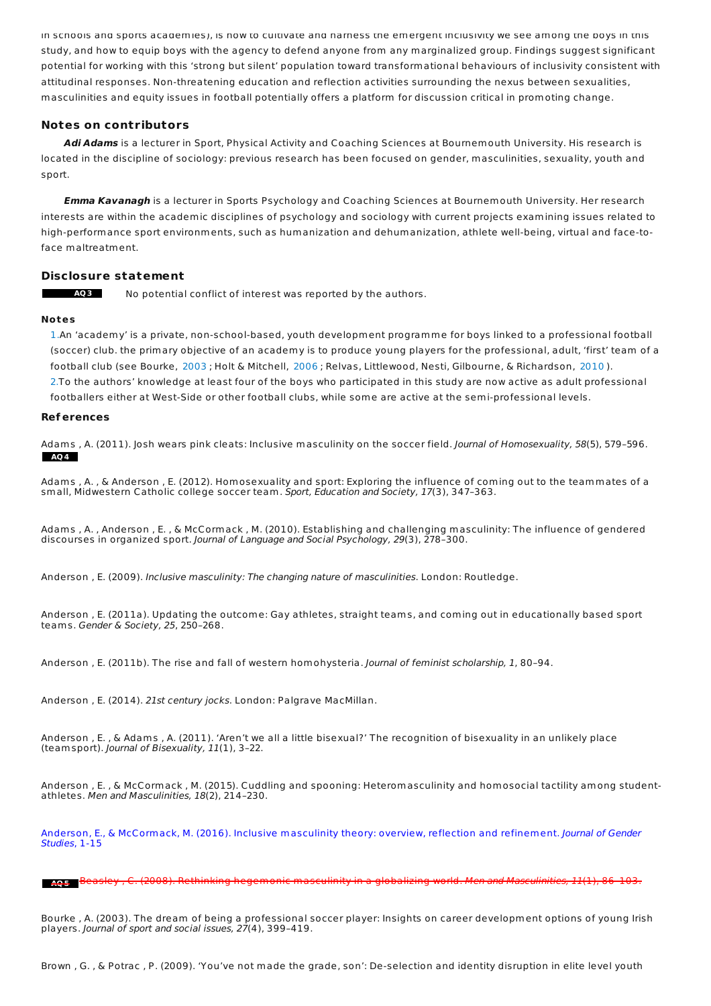in schools and sports academies), is how to cultivate and harness the emergent inclusivity we see among the boys in this study, and how to equip boys with the agency to defend anyone from any marginalized group. Findings suggest significant potential for working with this 'strong but silent' population toward transformational behaviours of inclusivity consistent with attitudinal responses. Non-threatening education and reflection activities surrounding the nexus between sexualities, masculinities and equity issues in football potentially offers a platform for discussion critical in promoting change.

## **Notes on contributors**

**Adi Adams** is a lecturer in Sport, Physical Activity and Coaching Sciences at Bournemouth University. His research is located in the discipline of sociology: previous research has been focused on gender, masculinities, sexuality, youth and sport.

**Emma Kavanagh** is a lecturer in Sports Psychology and Coaching Sciences at Bournemouth University. Her research interests are within the academic disciplines of psychology and sociology with current projects examining issues related to high-performance sport environments, such as humanization and dehumanization, athlete well-being, virtual and face-toface maltreatment.

## **Disclosure statement**

No potential conflict of interest was reported by the authors.

#### **Notes**

**AQ 3**

1.An 'academy' is a private, non-school-based, youth development programme for boys linked to a professional football (soccer) club. the primary objective of an academy is to produce young players for the professional, adult, 'first' team of a football club (see Bourke, 2003 ; Holt & Mitchell, 2006 ; Relvas, Littlewood, Nesti, Gilbourne, & Richardson, 2010 ). 2.To the authors' knowledge at least four of the boys who participated in this study are now active as adult professional footballers either at West-Side or other football clubs, while some are active at the semi-professional levels.

#### **Ref erences**

**AQ** 4 Adams , A. (2011). Josh wears pink cleats: Inclusive masculinity on the soccer field. Journal of Homosexuality, 58(5), 579-596.

Adams , A. , & Anderson , E. (2012). Homosexuality and sport: Exploring the influence of coming out to the teammates of a small, Midwestern Catholic college soccer team. Sport, Education and Society, 17(3), 347–363.

Adams , A. , Anderson , E. , & McCormack , M. (2010). Establishing and challenging masculinity: The influence of gendered discourses in organized sport. Journal of Language and Social Psychology, 29(3), 278–300.

Anderson , E. (2009). Inclusive masculinity: The changing nature of masculinities. London: Routledge.

Anderson , E. (2011a). Updating the outcome: Gay athletes, straight teams, and coming out in educationally based sport teams. Gender & Society, 25, 250–268.

Anderson, E. (2011b). The rise and fall of western homohysteria. Journal of feminist scholarship, 1, 80-94.

Anderson , E. (2014). 21st century jocks. London: Palgrave MacMillan.

Anderson , E. , & Adams , A. (2011). 'Aren't we all a little bisexual?' The recognition of bisexuality in an unlikely place (teamsport). Journal of Bisexuality, 11(1), 3–22.

Anderson , E. , & McCormack , M. (2015). Cuddling and spooning: Heteromasculinity and homosocial tactility among studentathletes. Men and Masculinities, 18(2), 214–230.

Anderson, E., & McCormack, M. (2016). Inclusive masculinity theory: overview, reflection and refinement. Journal of Gender Studies, 1-15

**AQ 5** Beasley , C. (2008). Rethinking hegemonic masculinity in a globalizing world. Men and Masculinities, 11(1), 86–103.

Bourke , A. (2003). The dream of being a professional soccer player: Insights on career development options of young Irish players. Journal of sport and social issues, 27(4), 399–419.

Brown , G. , & Potrac , P. (2009). 'You've not made the grade, son': De-selection and identity disruption in elite level youth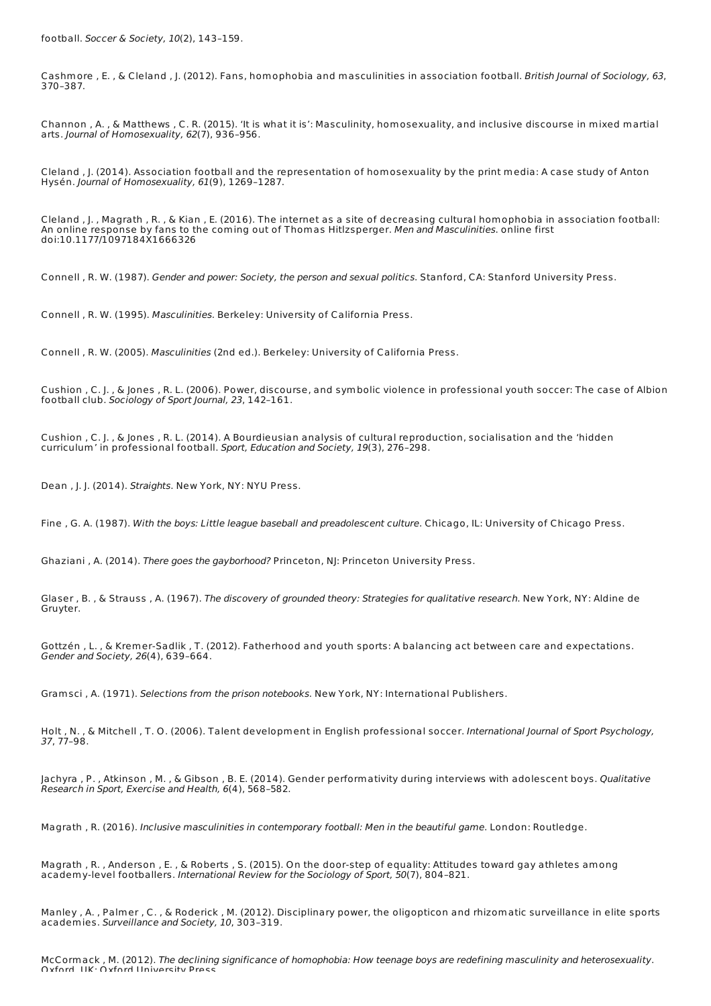Cashmore , E. , & Cleland , J. (2012). Fans, homophobia and masculinities in association football. British Journal of Sociology, 63, 370–387.

Channon , A. , & Matthews , C. R. (2015). 'It is what it is': Masculinity, homosexuality, and inclusive discourse in mixed martial arts. Journal of Homosexuality, 62(7), 936–956.

Cleland , J. (2014). Association football and the representation of homosexuality by the print media: A case study of Anton Hysén. Journal of Homosexuality, 61(9), 1269–1287.

Cleland , J. , Magrath , R. , & Kian , E. (2016). The internet as a site of decreasing cultural homophobia in association football: An online response by fans to the coming out of Thomas Hitlzsperger. Men and Masculinities. online first doi:10.1177/1097184X1666326

Connell , R. W. (1987). Gender and power: Society, the person and sexual politics. Stanford, CA: Stanford University Press.

Connell , R. W. (1995). Masculinities. Berkeley: University of California Press.

Connell , R. W. (2005). Masculinities (2nd ed.). Berkeley: University of California Press.

Cushion , C. J. , & Jones , R. L. (2006). Power, discourse, and symbolic violence in professional youth soccer: The case of Albion football club. Sociology of Sport Journal, 23, 142–161.

Cushion , C. J. , & Jones , R. L. (2014). A Bourdieusian analysis of cultural reproduction, socialisation and the 'hidden curriculum' in professional football. Sport, Education and Society, 19(3), 276–298.

Dean , J. J. (2014). Straights. New York, NY: NYU Press.

Fine , G. A. (1987). With the boys: Little league baseball and preadolescent culture. Chicago, IL: University of Chicago Press.

Ghaziani, A. (2014). There goes the gayborhood? Princeton, NJ: Princeton University Press.

Glaser, B., & Strauss, A. (1967). The discovery of grounded theory: Strategies for qualitative research. New York, NY: Aldine de Gruyter.

Gottzén , L. , & Kremer-Sadlik , T. (2012). Fatherhood and youth sports: A balancing act between care and expectations. Gender and Society, 26(4), 639–664.

Gramsci , A. (1971). Selections from the prison notebooks. New York, NY: International Publishers.

Holt , N. , & Mitchell , T. O. (2006). Talent development in English professional soccer. International Journal of Sport Psychology, 37, 77–98.

Jachyra, P., Atkinson, M., & Gibson, B.E. (2014). Gender performativity during interviews with adolescent boys. Qualitative Research in Sport, Exercise and Health, 6(4), 568–582.

Magrath , R. (2016). Inclusive masculinities in contemporary football: Men in the beautiful game. London: Routledge.

Magrath , R. , Anderson , E. , & Roberts , S. (2015). On the door-step of equality: Attitudes toward gay athletes among academy-level footballers. International Review for the Sociology of Sport, 50(7), 804–821.

Manley , A. , Palmer , C. , & Roderick , M. (2012). Disciplinary power, the oligopticon and rhizomatic surveillance in elite sports academies. Surveillance and Society, 10, 303–319.

McCormack , M. (2012). The declining significance of homophobia: How teenage boys are redefining masculinity and heterosexuality. Oxford, UK: Oxford University Press